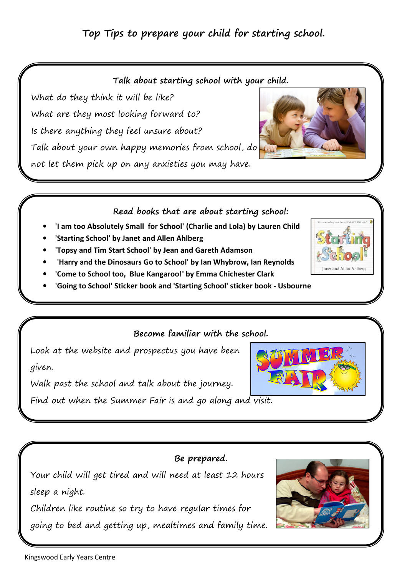# Top Tips to prepare your child for starting school.

#### Talk about starting school with your child.

What do they think it will be like? What are they most looking forward to? Is there anything they feel unsure about? Talk about your own happy memories from school, do not let them pick up on any anxieties you may have.

## Read books that are about starting school:

- 'I am too Absolutely Small for School' (Charlie and Lola) by Lauren Child
- 'Starting School' by Janet and Allen Ahlberg
- 'Topsy and Tim Start School' by Jean and Gareth Adamson
- 'Harry and the Dinosaurs Go to School' by Ian Whybrow, Ian Reynolds
- 'Come to School too, Blue Kangaroo!' by Emma Chichester Clark
- 'Going to School' Sticker book and 'Starting School' sticker book Usbourne

## Become familiar with the school.

Look at the website and prospectus you have been given.

Walk past the school and talk about the journey.

Find out when the Summer Fair is and go along and visit.

# Be prepared.

Your child will get tired and will need at least 12 hours sleep a night.

Children like routine so try to have regular times for going to bed and getting up, mealtimes and family time.







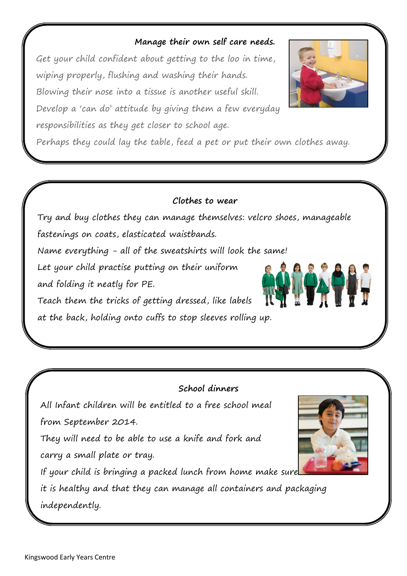## Manage their own self care needs.

Get your child confident about getting to the loo in time, wiping properly, flushing and washing their hands. Blowing their nose into a tissue is another useful skill. Develop a 'can do' attitude by giving them a few everyday responsibilities as they get closer to school age.

Perhaps they could lay the table, feed a pet or put their own clothes away.

### Clothes to wear

Try and buy clothes they can manage themselves: velcro shoes, manageable fastenings on coats, elasticated waistbands.

Name everything - all of the sweatshirts will look the same!

Let your child practise putting on their uniform

and folding it neatly for PE.

Teach them the tricks of getting dressed, like labels

at the back, holding onto cuffs to stop sleeves rolling up.

## School dinners

All Infant children will be entitled to a free school meal from September 2014.

They will need to be able to use a knife and fork and carry a small plate or tray.

If your child is bringing a packed lunch from home make sure

it is healthy and that they can manage all containers and packaging independently.

 $\overline{a}$ 





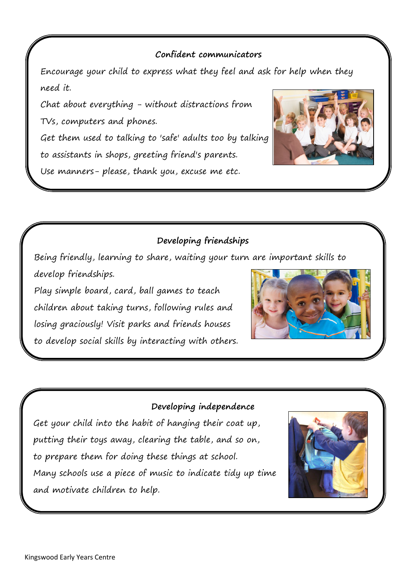### Confident communicators

Encourage your child to express what they feel and ask for help when they need it.

Chat about everything - without distractions from TVs, computers and phones.

ſ

I

Get them used to talking to 'safe' adults too by talking to assistants in shops, greeting friend's parents.

Use manners- please, thank you, excuse me etc.



## Developing friendships

Being friendly, learning to share, waiting your turn are important skills to develop friendships.

Play simple board, card, ball games to teach children about taking turns, following rules and losing graciously! Visit parks and friends houses to develop social skills by interacting with others.



#### Developing independence

Get your child into the habit of hanging their coat up, putting their toys away, clearing the table, and so on, to prepare them for doing these things at school. Many schools use a piece of music to indicate tidy up time and motivate children to help.

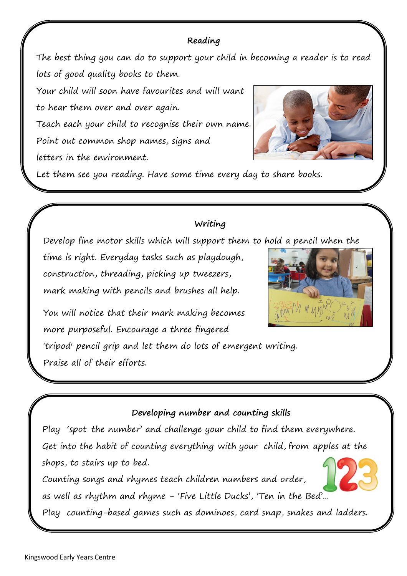# Reading

The best thing you can do to support your child in becoming a reader is to read lots of good quality books to them.

Your child will soon have favourites and will want to hear them over and over again. Teach each your child to recognise their own name. Point out common shop names, signs and letters in the environment.



Let them see you reading. Have some time every day to share books.

# Writing

Develop fine motor skills which will support them to hold a pencil when the

time is right. Everyday tasks such as playdough, construction, threading, picking up tweezers, mark making with pencils and brushes all help.



You will notice that their mark making becomes more purposeful. Encourage a three fingered

'tripod' pencil grip and let them do lots of emergent writing. Praise all of their efforts.

# Developing number and counting skills

Play 'spot the number' and challenge your child to find them everywhere. Get into the habit of counting everything with your child, from apples at the shops, to stairs up to bed.

Counting songs and rhymes teach children numbers and order, as well as rhythm and rhyme - 'Five Little Ducks', 'Ten in the Bed'...

Play counting-based games such as dominoes, card snap, snakes and ladders.